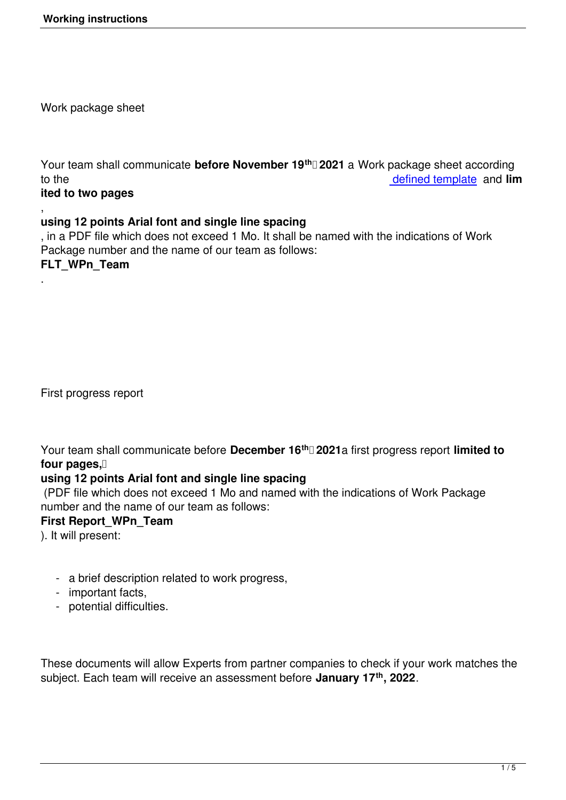Work package sheet

Your team shall communicate **before November 19th 2021** a Work package sheet according to the defined template and **lim ited to two pages**

#### , **using 12 points Arial font and single line spacing**

, in a PDF file which does not exceed 1 Mo. It shall be named with th[e indications of Wo](images/stories/docx/FLT_WPn_Team.docx)rk Package number and the name of our team as follows:

## **FLT\_WPn\_Team**

.

First progress report

Your team shall communicate before **December 16th 2021**a first progress report **limited to** four pages.

## **using 12 points Arial font and single line spacing**

 (PDF file which does not exceed 1 Mo and named with the indications of Work Package number and the name of our team as follows:

## **First Report\_WPn\_Team**

). It will present:

- a brief description related to work progress,
- important facts,
- potential difficulties.

These documents will allow Experts from partner companies to check if your work matches the subject. Each team will receive an assessment before **January 17th, 2022**.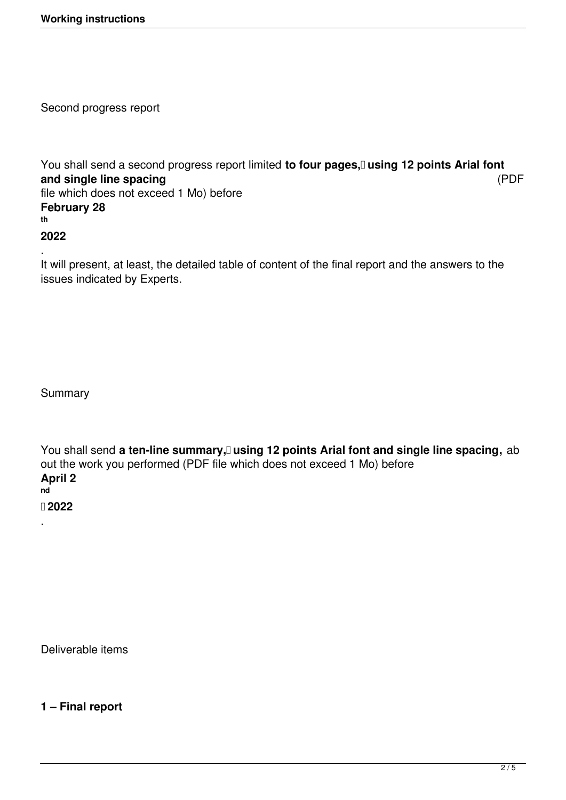Second progress report

You shall send a second progress report limited to four pages, using 12 points Arial font **and single line spacing** (PDF file which does not exceed 1 Mo) before **February 28 th**

#### **2022**

. It will present, at least, the detailed table of content of the final report and the answers to the issues indicated by Experts.

Summary

.

You shall send a ten-line summary, using 12 points Arial font and single line spacing, ab out the work you performed (PDF file which does not exceed 1 Mo) before **April 2 nd 2022**

Deliverable items

**1 – Final report**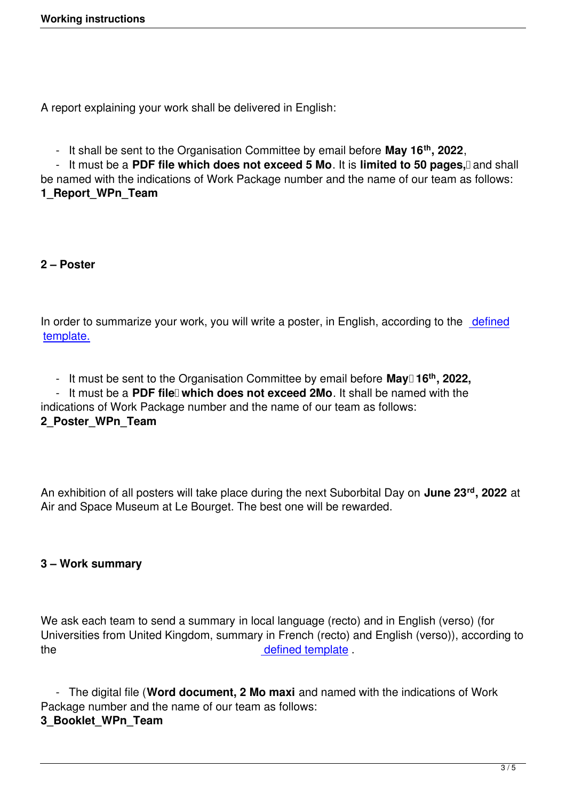A report explaining your work shall be delivered in English:

- It shall be sent to the Organisation Committee by email before **May 16th, 2022**,

- It must be a PDF file which does not exceed 5 Mo. It is limited to 50 pages, and shall be named with the indications of Work Package number and the name of our team as follows: **1\_Report\_WPn\_Team**

## **2 – Poster**

In order to summarize your work, you will write a poster, in English, according to the defined template.

 [- It mu](images/stories/docx/2_Poster_WPn_Team.pptx)st be sent to the Organisation Committee by email before **May 16th, 2022[,](images/stories/docx/2_Poster_WPn_Team.pptx)**

- It must be a PDF file<sup>n</sup> which does not exceed 2Mo. It shall be named with the

indications of Work Package number and the name of our team as follows:

# **2\_Poster\_WPn\_Team**

An exhibition of all posters will take place during the next Suborbital Day on **June 23rd, 2022** at Air and Space Museum at Le Bourget. The best one will be rewarded.

## **3 – Work summary**

We ask each team to send a summary in local language (recto) and in English (verso) (for Universities from United Kingdom, summary in French (recto) and English (verso)), according to the defined template.

 - The digital file (**Word document, 2 Mo maxi** [and name](images/stories/docx/3_Booklet_WPn_Team.docx)d with the indications of Work Package number and the name of our team as follows:

## **3\_Booklet\_WPn\_Team**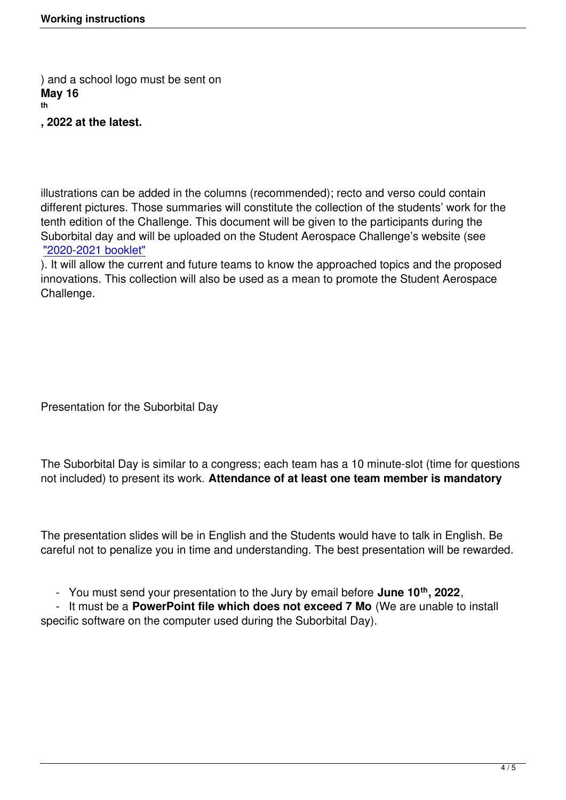**, 2022 at the latest.**

illustrations can be added in the columns (recommended); recto and verso could contain different pictures. Those summaries will constitute the collection of the students' work for the tenth edition of the Challenge. This document will be given to the participants during the Suborbital day and will be uploaded on the Student Aerospace Challenge's website (see "2020-2021 booklet"

). It will allow the current and future teams to know the approached topics and the proposed innovations. This collection will also be used as a mean to promote the Student Aerospace [Challenge.](images/stories/pdf/Livret_Defi2021.pdf)

Presentation for the Suborbital Day

The Suborbital Day is similar to a congress; each team has a 10 minute-slot (time for questions not included) to present its work. **Attendance of at least one team member is mandatory**

The presentation slides will be in English and the Students would have to talk in English. Be careful not to penalize you in time and understanding. The best presentation will be rewarded.

- You must send your presentation to the Jury by email before **June 10th, 2022**,

 - It must be a **PowerPoint file which does not exceed 7 Mo** (We are unable to install specific software on the computer used during the Suborbital Day).